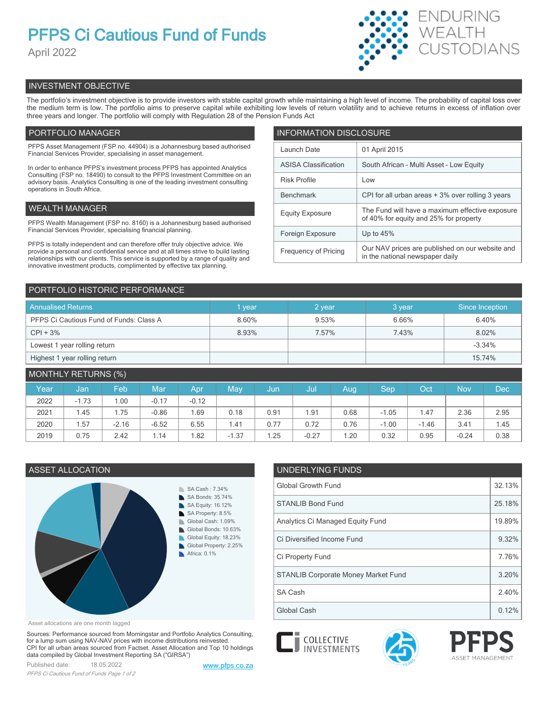# **PFPS Ci Cautious Fund of Funds**

April 2022



# INVESTMENT OBJECTIVE

The portfolio's investment objective is to provide investors with stable capital growth while maintaining a high level of income. The probability of capital loss over the medium term is low. The portfolio aims to preserve capital while exhibiting low levels of return volatility and to achieve returns in excess of inflation over three years and longer. The portfolio will comply with Regulation 28 of the Pension Funds Act

# PORTFOLIO MANAGER

PFPS Asset Management (FSP no. 44904) is a Johannesburg based authorised Financial Services Provider, specialising in asset management.

In order to enhance PFPS's investment process PFPS has appointed Analytics Consulting (FSP no. 18490) to consult to the PFPS Investment Committee on an advisory basis. Analytics Consulting is one of the leading investment consulting operations in South Africa.

# WEALTH MANAGER

PFPS Wealth Management (FSP no. 8160) is a Johannesburg based authorised Financial Services Provider, specialising financial planning.

PFPS is totally independent and can therefore offer truly objective advice. We provide a personal and confidential service and at all times strive to build lasting relationships with our clients. This service is supported by a range of quality and innovative investment products, complimented by effective tax planning.

| <b>INFORMATION DISCLOSURE</b> |                                                                                           |  |  |  |  |  |
|-------------------------------|-------------------------------------------------------------------------------------------|--|--|--|--|--|
| Launch Date                   | 01 April 2015                                                                             |  |  |  |  |  |
| <b>ASISA Classification</b>   | South African - Multi Asset - Low Equity                                                  |  |  |  |  |  |
| <b>Risk Profile</b>           | Low                                                                                       |  |  |  |  |  |
| <b>Benchmark</b>              | CPI for all urban areas + 3% over rolling 3 years                                         |  |  |  |  |  |
| <b>Equity Exposure</b>        | The Fund will have a maximum effective exposure<br>of 40% for equity and 25% for property |  |  |  |  |  |
| Foreign Exposure              | Up to $45%$                                                                               |  |  |  |  |  |
| <b>Frequency of Pricing</b>   | Our NAV prices are published on our website and<br>in the national newspaper daily        |  |  |  |  |  |

# PORTFOLIO HISTORIC PERFORMANCE

| <b>Annualised Returns</b>               | l vear | 2 year | 3 year | Since Inception |
|-----------------------------------------|--------|--------|--------|-----------------|
| PFPS Ci Cautious Fund of Funds: Class A | 8.60%  | 9.53%  | 6.66%  | 6.40%           |
| $CPI + 3%$                              | 8.93%  | 7.57%  | 7.43%  | 8.02%           |
| Lowest 1 year rolling return            |        |        |        | $-3.34%$        |
| Highest 1 year rolling return           |        |        |        | 15.74%          |

| <b>MONTHLY RETURNS (%)</b> |         |         |         |         |         |      |         |      |         |         |            |      |
|----------------------------|---------|---------|---------|---------|---------|------|---------|------|---------|---------|------------|------|
| Year                       | Jan,    | Feb     | Mar     | Apr     | May     | Jun  | Jul     | Aug  | Sep     | Oct     | <b>Nov</b> | Dec  |
| 2022                       | $-1.73$ | .00     | $-0.17$ | $-0.12$ |         |      |         |      |         |         |            |      |
| 2021                       | 1.45    | 75ء     | $-0.86$ | .69     | 0.18    | 0.91 | . 91    | 0.68 | $-1.05$ | 1.47    | 2.36       | 2.95 |
| 2020                       | 1.57    | $-2.16$ | $-6.52$ | 6.55    | 1.41    | 0.77 | 0.72    | 0.76 | $-1.00$ | $-1.46$ | 3.41       | 1.45 |
| 2019                       | 0.75    | 2.42    | 1.14    | .82     | $-1.37$ | .25  | $-0.27$ | 1.20 | 0.32    | 0.95    | $-0.24$    | 0.38 |



Asset allocations are one month lagged

Sources: Performance sourced from Morningstar and Portfolio Analytics Consulting, for a lump sum using NAV-NAV prices with income distributions reinvested. CPI for all urban areas sourced from Factset. Asset Allocation and Top 10 holdings data compiled by Global Investment Reporting SA ("GIRSA")

Published date: 18.05.2022 [www.pfps.co.za](https://www.pfps.co.za/) *PFPS Ci Cautious Fund of Funds Page 1 of 2*